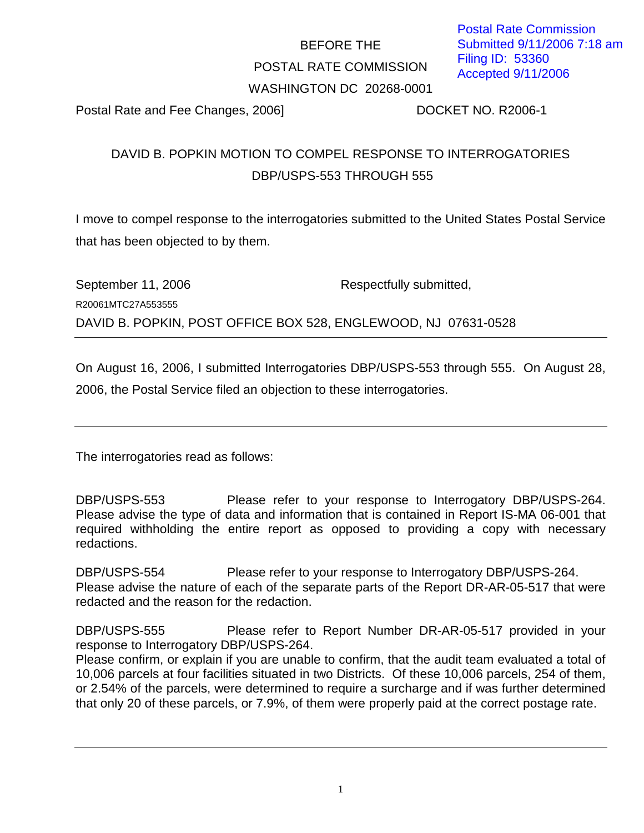# BEFORE THE POSTAL RATE COMMISSION WASHINGTON DC 20268-0001

Postal Rate and Fee Changes, 2006] DOCKET NO. R2006-1

## DAVID B. POPKIN MOTION TO COMPEL RESPONSE TO INTERROGATORIES DBP/USPS-553 THROUGH 555

I move to compel response to the interrogatories submitted to the United States Postal Service that has been objected to by them.

| September 11, 2006                                             | Respectfully submitted, |
|----------------------------------------------------------------|-------------------------|
| R20061MTC27A553555                                             |                         |
| DAVID B. POPKIN, POST OFFICE BOX 528, ENGLEWOOD, NJ 07631-0528 |                         |

On August 16, 2006, I submitted Interrogatories DBP/USPS-553 through 555. On August 28, 2006, the Postal Service filed an objection to these interrogatories.

The interrogatories read as follows:

DBP/USPS-553 Please refer to your response to Interrogatory DBP/USPS-264. Please advise the type of data and information that is contained in Report IS-MA 06-001 that required withholding the entire report as opposed to providing a copy with necessary redactions.

DBP/USPS-554 Please refer to your response to Interrogatory DBP/USPS-264. Please advise the nature of each of the separate parts of the Report DR-AR-05-517 that were redacted and the reason for the redaction.

DBP/USPS-555 Please refer to Report Number DR-AR-05-517 provided in your response to Interrogatory DBP/USPS-264.

Please confirm, or explain if you are unable to confirm, that the audit team evaluated a total of 10,006 parcels at four facilities situated in two Districts. Of these 10,006 parcels, 254 of them, or 2.54% of the parcels, were determined to require a surcharge and if was further determined that only 20 of these parcels, or 7.9%, of them were properly paid at the correct postage rate.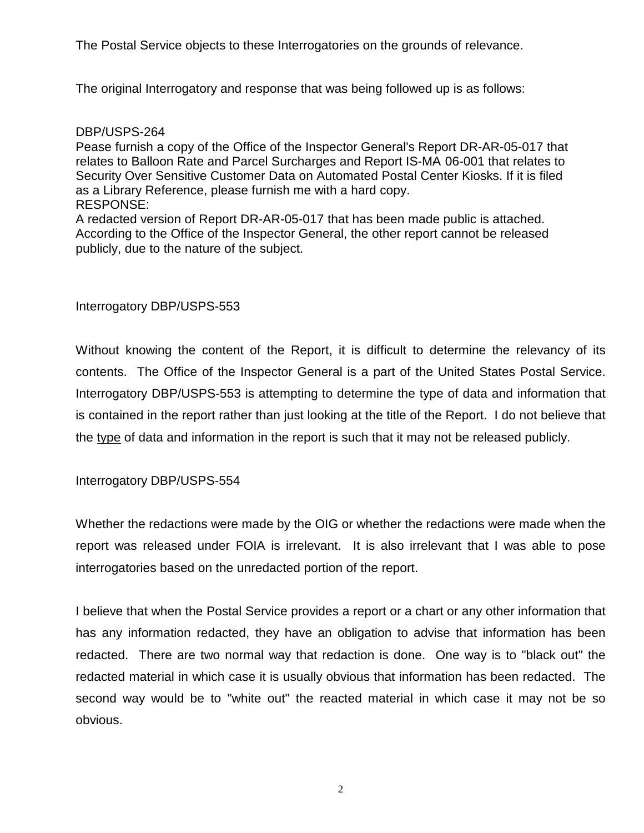The Postal Service objects to these Interrogatories on the grounds of relevance.

The original Interrogatory and response that was being followed up is as follows:

#### DBP/USPS-264

Pease furnish a copy of the Office of the Inspector General's Report DR-AR-05-017 that relates to Balloon Rate and Parcel Surcharges and Report IS-MA- 06-001 that relates to Security Over Sensitive Customer Data on Automated Postal Center Kiosks. If it is filed as a Library Reference, please furnish me with a hard copy. RESPONSE:

A redacted version of Report DR-AR-05-017 that has been made public is attached. According to the Office of the Inspector General, the other report cannot be released publicly, due to the nature of the subject.

#### Interrogatory DBP/USPS-553

Without knowing the content of the Report, it is difficult to determine the relevancy of its contents. The Office of the Inspector General is a part of the United States Postal Service. Interrogatory DBP/USPS-553 is attempting to determine the type of data and information that is contained in the report rather than just looking at the title of the Report. I do not believe that the type of data and information in the report is such that it may not be released publicly.

Interrogatory DBP/USPS-554

Whether the redactions were made by the OIG or whether the redactions were made when the report was released under FOIA is irrelevant. It is also irrelevant that I was able to pose interrogatories based on the unredacted portion of the report.

I believe that when the Postal Service provides a report or a chart or any other information that has any information redacted, they have an obligation to advise that information has been redacted. There are two normal way that redaction is done. One way is to "black out" the redacted material in which case it is usually obvious that information has been redacted. The second way would be to "white out" the reacted material in which case it may not be so obvious.